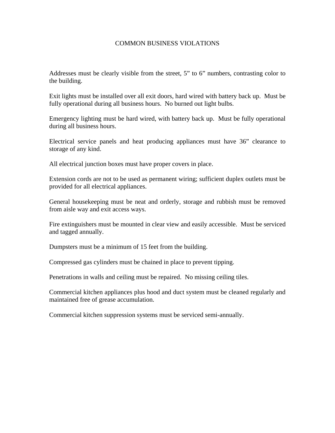## COMMON BUSINESS VIOLATIONS

Addresses must be clearly visible from the street, 5" to 6" numbers, contrasting color to the building.

Exit lights must be installed over all exit doors, hard wired with battery back up. Must be fully operational during all business hours. No burned out light bulbs.

Emergency lighting must be hard wired, with battery back up. Must be fully operational during all business hours.

Electrical service panels and heat producing appliances must have 36" clearance to storage of any kind.

All electrical junction boxes must have proper covers in place.

Extension cords are not to be used as permanent wiring; sufficient duplex outlets must be provided for all electrical appliances.

General housekeeping must be neat and orderly, storage and rubbish must be removed from aisle way and exit access ways.

Fire extinguishers must be mounted in clear view and easily accessible. Must be serviced and tagged annually.

Dumpsters must be a minimum of 15 feet from the building.

Compressed gas cylinders must be chained in place to prevent tipping.

Penetrations in walls and ceiling must be repaired. No missing ceiling tiles.

Commercial kitchen appliances plus hood and duct system must be cleaned regularly and maintained free of grease accumulation.

Commercial kitchen suppression systems must be serviced semi-annually.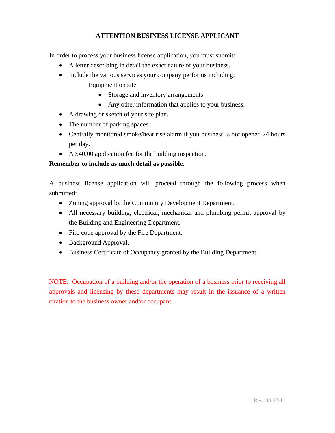## **ATTENTION BUSINESS LICENSE APPLICANT**

In order to process your business license application, you must submit:

- A letter describing in detail the exact nature of your business.
- Include the various services your company performs including:
	- Equipment on site
		- Storage and inventory arrangements
		- Any other information that applies to your business.
- A drawing or sketch of your site plan.
- The number of parking spaces.
- Centrally monitored smoke/heat rise alarm if you business is not opened 24 hours per day.
- A \$40.00 application fee for the building inspection.

## **Remember to include as much detail as possible.**

A business license application will proceed through the following process when submitted:

- Zoning approval by the Community Development Department.
- All necessary building, electrical, mechanical and plumbing permit approval by the Building and Engineering Department.
- Fire code approval by the Fire Department.
- Background Approval.
- Business Certificate of Occupancy granted by the Building Department.

NOTE: Occupation of a building and/or the operation of a business prior to receiving all approvals and licensing by these departments may result in the issuance of a written citation to the business owner and/or occupant.